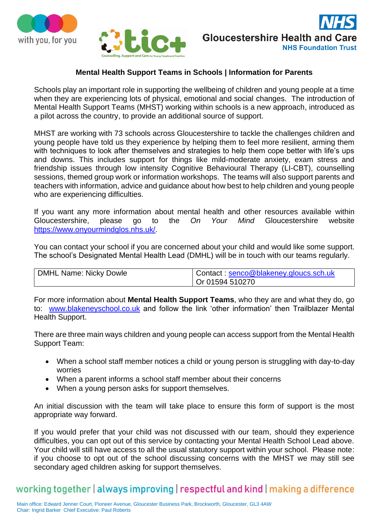





## **Mental Health Support Teams in Schools | Information for Parents**

Schools play an important role in supporting the wellbeing of children and young people at a time when they are experiencing lots of physical, emotional and social changes. The introduction of Mental Health Support Teams (MHST) working within schools is a new approach, introduced as a pilot across the country, to provide an additional source of support.

MHST are working with 73 schools across Gloucestershire to tackle the challenges children and young people have told us they experience by helping them to feel more resilient, arming them with techniques to look after themselves and strategies to help them cope better with life's ups and downs. This includes support for things like mild-moderate anxiety, exam stress and friendship issues through low intensity Cognitive Behavioural Therapy (LI-CBT), counselling sessions, themed group work or information workshops. The teams will also support parents and teachers with information, advice and guidance about how best to help children and young people who are experiencing difficulties.

If you want any more information about mental health and other resources available within Gloucestershire, please go to the *On Your Mind* Gloucestershire website [https://www.onyourmindglos.nhs.uk/.](https://www.onyourmindglos.nhs.uk/)

You can contact your school if you are concerned about your child and would like some support. The school's Designated Mental Health Lead (DMHL) will be in touch with our teams regularly.

| DMHL Name: Nicky Dowle | Contact: senco@blakeney.gloucs.sch.uk |
|------------------------|---------------------------------------|
|                        | Or 01594 510270                       |

For more information about **Mental Health Support Teams**, who they are and what they do, go to: [www.blakeneyschool.co.uk](http://www.blakeneyschool.co.uk/) and follow the link 'other information' then Trailblazer Mental Health Support.

There are three main ways children and young people can access support from the Mental Health Support Team:

- When a school staff member notices a child or young person is struggling with day-to-day worries
- When a parent informs a school staff member about their concerns
- When a young person asks for support themselves.

An initial discussion with the team will take place to ensure this form of support is the most appropriate way forward.

If you would prefer that your child was not discussed with our team, should they experience difficulties, you can opt out of this service by contacting your Mental Health School Lead above. Your child will still have access to all the usual statutory support within your school. Please note: if you choose to opt out of the school discussing concerns with the MHST we may still see secondary aged children asking for support themselves.

## working together | always improving | respectful and kind | making a difference